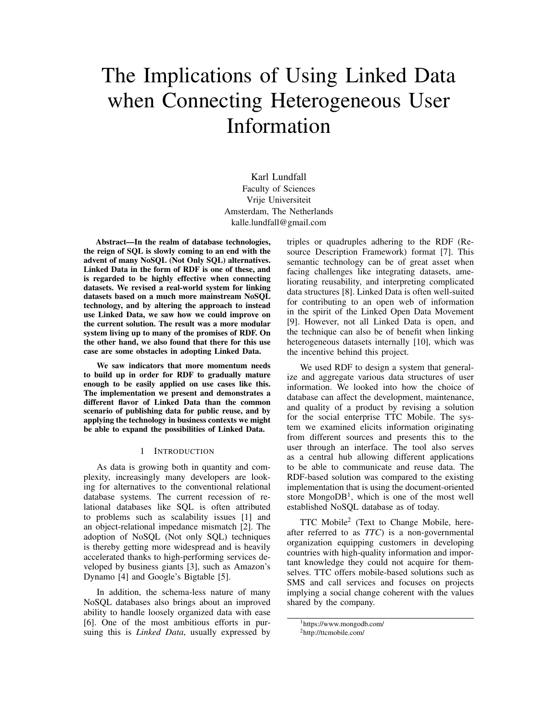# The Implications of Using Linked Data when Connecting Heterogeneous User Information

Karl Lundfall Faculty of Sciences Vrije Universiteit Amsterdam, The Netherlands kalle.lundfall@gmail.com

Abstract—In the realm of database technologies, the reign of SQL is slowly coming to an end with the advent of many NoSQL (Not Only SQL) alternatives. Linked Data in the form of RDF is one of these, and is regarded to be highly effective when connecting datasets. We revised a real-world system for linking datasets based on a much more mainstream NoSQL technology, and by altering the approach to instead use Linked Data, we saw how we could improve on the current solution. The result was a more modular system living up to many of the promises of RDF. On the other hand, we also found that there for this use case are some obstacles in adopting Linked Data.

We saw indicators that more momentum needs to build up in order for RDF to gradually mature enough to be easily applied on use cases like this. The implementation we present and demonstrates a different flavor of Linked Data than the common scenario of publishing data for public reuse, and by applying the technology in business contexts we might be able to expand the possibilities of Linked Data.

# 1 INTRODUCTION

As data is growing both in quantity and complexity, increasingly many developers are looking for alternatives to the conventional relational database systems. The current recession of relational databases like SQL is often attributed to problems such as scalability issues [1] and an object-relational impedance mismatch [2]. The adoption of NoSQL (Not only SQL) techniques is thereby getting more widespread and is heavily accelerated thanks to high-performing services developed by business giants [3], such as Amazon's Dynamo [4] and Google's Bigtable [5].

In addition, the schema-less nature of many NoSQL databases also brings about an improved ability to handle loosely organized data with ease [6]. One of the most ambitious efforts in pursuing this is *Linked Data*, usually expressed by triples or quadruples adhering to the RDF (Resource Description Framework) format [7]. This semantic technology can be of great asset when facing challenges like integrating datasets, ameliorating reusability, and interpreting complicated data structures [8]. Linked Data is often well-suited for contributing to an open web of information in the spirit of the Linked Open Data Movement [9]. However, not all Linked Data is open, and the technique can also be of benefit when linking heterogeneous datasets internally [10], which was the incentive behind this project.

We used RDF to design a system that generalize and aggregate various data structures of user information. We looked into how the choice of database can affect the development, maintenance, and quality of a product by revising a solution for the social enterprise TTC Mobile. The system we examined elicits information originating from different sources and presents this to the user through an interface. The tool also serves as a central hub allowing different applications to be able to communicate and reuse data. The RDF-based solution was compared to the existing implementation that is using the document-oriented store Mongo $DB<sup>1</sup>$ , which is one of the most well established NoSQL database as of today.

TTC Mobile<sup>2</sup> (Text to Change Mobile, hereafter referred to as *TTC*) is a non-governmental organization equipping customers in developing countries with high-quality information and important knowledge they could not acquire for themselves. TTC offers mobile-based solutions such as SMS and call services and focuses on projects implying a social change coherent with the values shared by the company.

<sup>1</sup>https://www.mongodb.com/ <sup>2</sup>http://ttcmobile.com/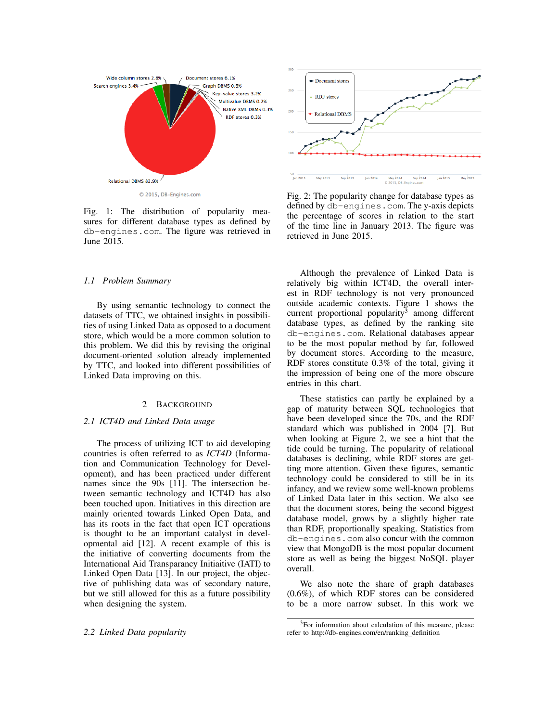

Fig. 1: The distribution of popularity measures for different database types as defined by db-engines.com. The figure was retrieved in June 2015.

#### *1.1 Problem Summary*

By using semantic technology to connect the datasets of TTC, we obtained insights in possibilities of using Linked Data as opposed to a document store, which would be a more common solution to this problem. We did this by revising the original document-oriented solution already implemented by TTC, and looked into different possibilities of Linked Data improving on this.

## 2 BACKGROUND

## *2.1 ICT4D and Linked Data usage*

The process of utilizing ICT to aid developing countries is often referred to as *ICT4D* (Information and Communication Technology for Development), and has been practiced under different names since the 90s [11]. The intersection between semantic technology and ICT4D has also been touched upon. Initiatives in this direction are mainly oriented towards Linked Open Data, and has its roots in the fact that open ICT operations is thought to be an important catalyst in developmental aid [12]. A recent example of this is the initiative of converting documents from the International Aid Transparancy Initiaitive (IATI) to Linked Open Data [13]. In our project, the objective of publishing data was of secondary nature, but we still allowed for this as a future possibility when designing the system.

#### *2.2 Linked Data popularity*



Fig. 2: The popularity change for database types as defined by db-engines.com. The y-axis depicts the percentage of scores in relation to the start of the time line in January 2013. The figure was retrieved in June 2015.

Although the prevalence of Linked Data is relatively big within ICT4D, the overall interest in RDF technology is not very pronounced outside academic contexts. Figure 1 shows the current proportional popularity<sup>3</sup> among different database types, as defined by the ranking site db-engines.com. Relational databases appear to be the most popular method by far, followed by document stores. According to the measure, RDF stores constitute 0.3% of the total, giving it the impression of being one of the more obscure entries in this chart.

These statistics can partly be explained by a gap of maturity between SQL technologies that have been developed since the 70s, and the RDF standard which was published in 2004 [7]. But when looking at Figure 2, we see a hint that the tide could be turning. The popularity of relational databases is declining, while RDF stores are getting more attention. Given these figures, semantic technology could be considered to still be in its infancy, and we review some well-known problems of Linked Data later in this section. We also see that the document stores, being the second biggest database model, grows by a slightly higher rate than RDF, proportionally speaking. Statistics from db-engines.com also concur with the common view that MongoDB is the most popular document store as well as being the biggest NoSQL player overall.

We also note the share of graph databases (0.6%), of which RDF stores can be considered to be a more narrow subset. In this work we

 $3$ For information about calculation of this measure, please refer to http://db-engines.com/en/ranking\_definition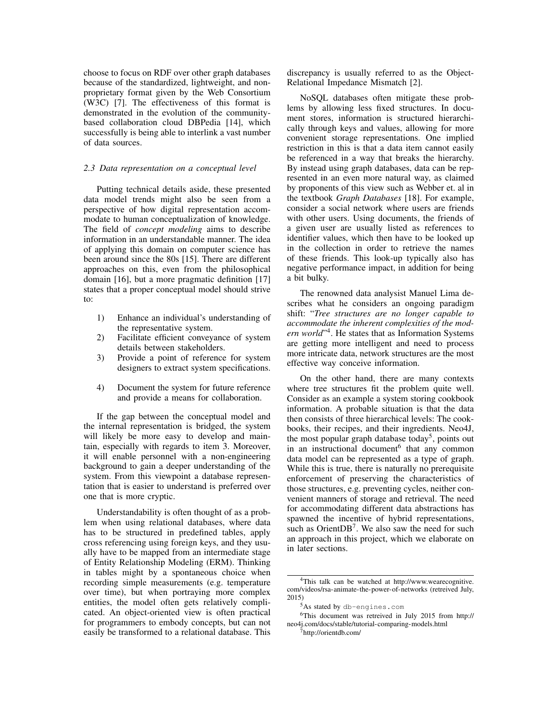choose to focus on RDF over other graph databases because of the standardized, lightweight, and nonproprietary format given by the Web Consortium (W3C) [7]. The effectiveness of this format is demonstrated in the evolution of the communitybased collaboration cloud DBPedia [14], which successfully is being able to interlink a vast number of data sources.

#### *2.3 Data representation on a conceptual level*

Putting technical details aside, these presented data model trends might also be seen from a perspective of how digital representation accommodate to human conceptualization of knowledge. The field of *concept modeling* aims to describe information in an understandable manner. The idea of applying this domain on computer science has been around since the 80s [15]. There are different approaches on this, even from the philosophical domain [16], but a more pragmatic definition [17] states that a proper conceptual model should strive to:

- 1) Enhance an individual's understanding of the representative system.
- 2) Facilitate efficient conveyance of system details between stakeholders.
- 3) Provide a point of reference for system designers to extract system specifications.
- 4) Document the system for future reference and provide a means for collaboration.

If the gap between the conceptual model and the internal representation is bridged, the system will likely be more easy to develop and maintain, especially with regards to item 3. Moreover, it will enable personnel with a non-engineering background to gain a deeper understanding of the system. From this viewpoint a database representation that is easier to understand is preferred over one that is more cryptic.

Understandability is often thought of as a problem when using relational databases, where data has to be structured in predefined tables, apply cross referencing using foreign keys, and they usually have to be mapped from an intermediate stage of Entity Relationship Modeling (ERM). Thinking in tables might by a spontaneous choice when recording simple measurements (e.g. temperature over time), but when portraying more complex entities, the model often gets relatively complicated. An object-oriented view is often practical for programmers to embody concepts, but can not easily be transformed to a relational database. This

discrepancy is usually referred to as the Object-Relational Impedance Mismatch [2].

NoSQL databases often mitigate these problems by allowing less fixed structures. In document stores, information is structured hierarchically through keys and values, allowing for more convenient storage representations. One implied restriction in this is that a data item cannot easily be referenced in a way that breaks the hierarchy. By instead using graph databases, data can be represented in an even more natural way, as claimed by proponents of this view such as Webber et. al in the textbook *Graph Databases* [18]. For example, consider a social network where users are friends with other users. Using documents, the friends of a given user are usually listed as references to identifier values, which then have to be looked up in the collection in order to retrieve the names of these friends. This look-up typically also has negative performance impact, in addition for being a bit bulky.

The renowned data analysist Manuel Lima describes what he considers an ongoing paradigm shift: "*Tree structures are no longer capable to accommodate the inherent complexities of the mod*ern world"<sup>4</sup>. He states that as Information Systems are getting more intelligent and need to process more intricate data, network structures are the most effective way conceive information.

On the other hand, there are many contexts where tree structures fit the problem quite well. Consider as an example a system storing cookbook information. A probable situation is that the data then consists of three hierarchical levels: The cookbooks, their recipes, and their ingredients. Neo4J, the most popular graph database today<sup>5</sup>, points out in an instructional document<sup>6</sup> that any common data model can be represented as a type of graph. While this is true, there is naturally no prerequisite enforcement of preserving the characteristics of those structures, e.g. preventing cycles, neither convenient manners of storage and retrieval. The need for accommodating different data abstractions has spawned the incentive of hybrid representations, such as Orient $DB^7$ . We also saw the need for such an approach in this project, which we elaborate on in later sections.

<sup>7</sup>http://orientdb.com/

<sup>4</sup>This talk can be watched at http://www.wearecognitive. com/videos/rsa-animate-the-power-of-networks (retreived July, 2015)

<sup>5</sup>As stated by db-engines.com

<sup>6</sup>This document was retreived in July 2015 from http:// neo4j.com/docs/stable/tutorial-comparing-models.html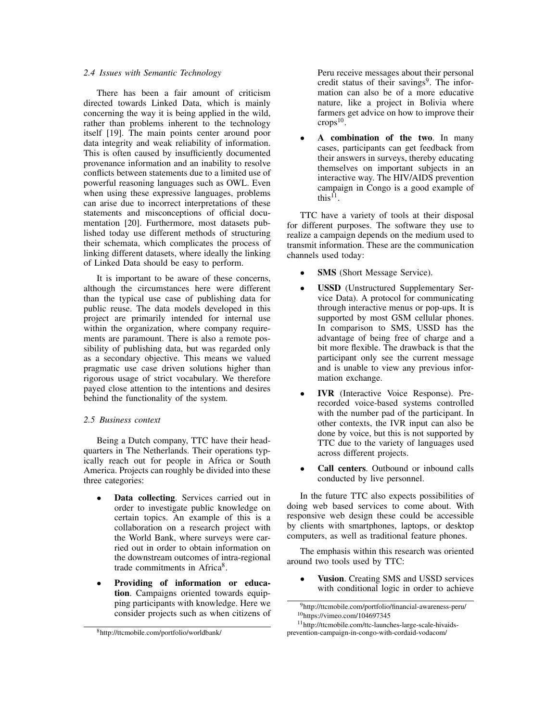# *2.4 Issues with Semantic Technology*

There has been a fair amount of criticism directed towards Linked Data, which is mainly concerning the way it is being applied in the wild, rather than problems inherent to the technology itself [19]. The main points center around poor data integrity and weak reliability of information. This is often caused by insufficiently documented provenance information and an inability to resolve conflicts between statements due to a limited use of powerful reasoning languages such as OWL. Even when using these expressive languages, problems can arise due to incorrect interpretations of these statements and misconceptions of official documentation [20]. Furthermore, most datasets published today use different methods of structuring their schemata, which complicates the process of linking different datasets, where ideally the linking of Linked Data should be easy to perform.

It is important to be aware of these concerns, although the circumstances here were different than the typical use case of publishing data for public reuse. The data models developed in this project are primarily intended for internal use within the organization, where company requirements are paramount. There is also a remote possibility of publishing data, but was regarded only as a secondary objective. This means we valued pragmatic use case driven solutions higher than rigorous usage of strict vocabulary. We therefore payed close attention to the intentions and desires behind the functionality of the system.

## *2.5 Business context*

Being a Dutch company, TTC have their headquarters in The Netherlands. Their operations typically reach out for people in Africa or South America. Projects can roughly be divided into these three categories:

- Data collecting. Services carried out in order to investigate public knowledge on certain topics. An example of this is a collaboration on a research project with the World Bank, where surveys were carried out in order to obtain information on the downstream outcomes of intra-regional trade commitments in Africa<sup>8</sup>.
- Providing of information or education. Campaigns oriented towards equipping participants with knowledge. Here we consider projects such as when citizens of

Peru receive messages about their personal credit status of their savings<sup>9</sup>. The information can also be of a more educative nature, like a project in Bolivia where farmers get advice on how to improve their  $\text{crops}^{10}$ .

• A combination of the two. In many cases, participants can get feedback from their answers in surveys, thereby educating themselves on important subjects in an interactive way. The HIV/AIDS prevention campaign in Congo is a good example of this $^{11}$ .

TTC have a variety of tools at their disposal for different purposes. The software they use to realize a campaign depends on the medium used to transmit information. These are the communication channels used today:

- SMS (Short Message Service).
- USSD (Unstructured Supplementary Service Data). A protocol for communicating through interactive menus or pop-ups. It is supported by most GSM cellular phones. In comparison to SMS, USSD has the advantage of being free of charge and a bit more flexible. The drawback is that the participant only see the current message and is unable to view any previous information exchange.
- IVR (Interactive Voice Response). Prerecorded voice-based systems controlled with the number pad of the participant. In other contexts, the IVR input can also be done by voice, but this is not supported by TTC due to the variety of languages used across different projects.
- Call centers. Outbound or inbound calls conducted by live personnel.

In the future TTC also expects possibilities of doing web based services to come about. With responsive web design these could be accessible by clients with smartphones, laptops, or desktop computers, as well as traditional feature phones.

The emphasis within this research was oriented around two tools used by TTC:

• Vusion. Creating SMS and USSD services with conditional logic in order to achieve

<sup>8</sup>http://ttcmobile.com/portfolio/worldbank/

<sup>9</sup>http://ttcmobile.com/portfolio/financial-awareness-peru/ <sup>10</sup>https://vimeo.com/104697345

<sup>11</sup>http://ttcmobile.com/ttc-launches-large-scale-hivaidsprevention-campaign-in-congo-with-cordaid-vodacom/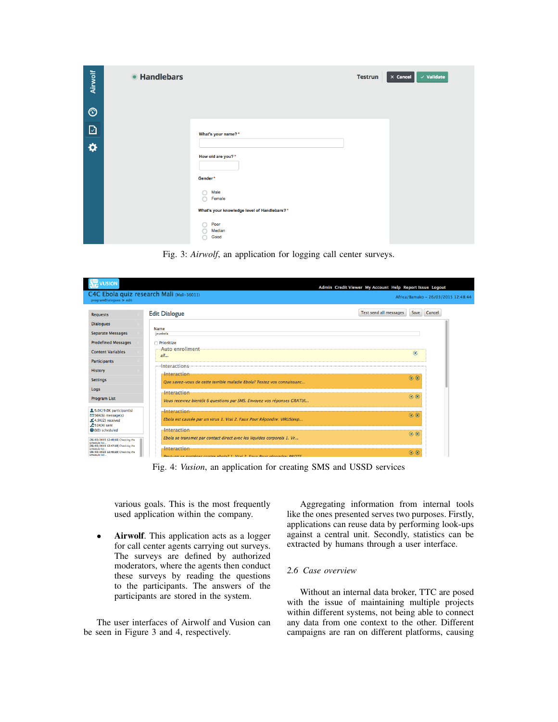| Airwolf            | • Handlebars |                                             | <b>Testrun</b> | $\checkmark$ Validate<br>$\times$ Cancel |
|--------------------|--------------|---------------------------------------------|----------------|------------------------------------------|
| $\circledcirc$     |              |                                             |                |                                          |
| $\boxed{2}$        |              | What's your name?*                          |                |                                          |
| $\hat{\mathbf{v}}$ |              | How old are you?*                           |                |                                          |
|                    |              |                                             |                |                                          |
|                    |              | Gender*                                     |                |                                          |
|                    |              | Male<br>С<br>Female<br>$\bigcap$            |                |                                          |
|                    |              | What's your knowledge level of Handlebars?* |                |                                          |
|                    |              | Poor<br>Median<br>C<br>Good                 |                |                                          |

Fig. 3: *Airwolf*, an application for logging call center surveys.

| <b>WA VUSION</b><br>programDialogues > edit                                                                | Admin Credit Viewer My Account Help Report Issue Logout<br>C4C Ebola quiz research Mali (Mali-36011)<br>Africa/Bamako - 26/03/2015 12:48:44 |  |
|------------------------------------------------------------------------------------------------------------|---------------------------------------------------------------------------------------------------------------------------------------------|--|
| <b>Requests</b>                                                                                            | Test send all messages<br>Cancel<br>Save<br><b>Edit Dialogue</b>                                                                            |  |
| <b>Dialogues</b>                                                                                           | <b>Name</b>                                                                                                                                 |  |
| <b>Separate Messages</b><br><b>Predefined Messages</b>                                                     | ieuebola<br>□ Prioritize                                                                                                                    |  |
| <b>Content Variables</b>                                                                                   | Auto enrollment<br>$\overline{(\mathbf{x})}$<br>all                                                                                         |  |
| <b>Participants</b><br><b>History</b>                                                                      | Interactions<br><b>Interaction</b>                                                                                                          |  |
| <b>Settings</b>                                                                                            | $\mathbf{K}(\mathbf{X})$<br>Oue savez-vous de cette terrible maladie Ebola? Testez vos connaissanc                                          |  |
| Logs<br><b>Program List</b>                                                                                | <b>Interaction</b><br>$(x, \Omega)$<br>Vous recevrez bientôt 6 questions par SMS. Envoyez vos réponses GRATUI                               |  |
| 9.0K/9.0K participant(s)<br>$\Xi$ 56K(6) message(s)<br>■ 4.9K(2) received<br>51K(4) sent                   | <b>Interaction</b><br>(x, 0)<br>Ebola est causée par un virus 1. Vrai 2. Faux Pour Répondre: VIRUS(esp                                      |  |
| to 0(0) scheduled<br>[26/03/2015 12:48:18] Checking the<br>schedule list                                   | <b>Interaction</b><br>$(x, \otimes)$<br>Ebola se transmet par contact direct avec les liquides corporels 1. Vr                              |  |
| [26/03/2015 12:47:18] Checking the<br>schedule list<br>[26/03/2015 12:46:18] Checking the<br>schedule list | <b>Interaction</b><br>$\circledcirc$<br>$B_{out}$ and a neather control shall $2.1$ Vest $2.5$ compared shared in BBOTE                     |  |

Fig. 4: *Vusion*, an application for creating SMS and USSD services

various goals. This is the most frequently used application within the company.

Airwolf. This application acts as a logger for call center agents carrying out surveys. The surveys are defined by authorized moderators, where the agents then conduct these surveys by reading the questions to the participants. The answers of the participants are stored in the system.

The user interfaces of Airwolf and Vusion can be seen in Figure 3 and 4, respectively.

Aggregating information from internal tools like the ones presented serves two purposes. Firstly, applications can reuse data by performing look-ups against a central unit. Secondly, statistics can be extracted by humans through a user interface.

# *2.6 Case overview*

Without an internal data broker, TTC are posed with the issue of maintaining multiple projects within different systems, not being able to connect any data from one context to the other. Different campaigns are ran on different platforms, causing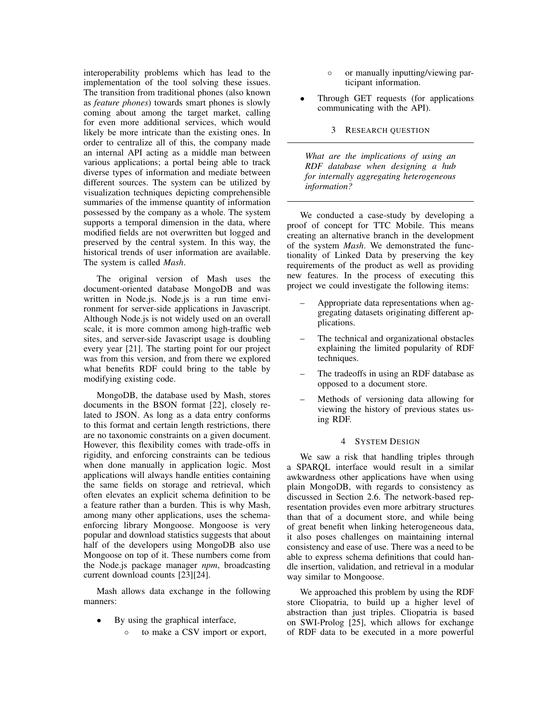interoperability problems which has lead to the implementation of the tool solving these issues. The transition from traditional phones (also known as *feature phones*) towards smart phones is slowly coming about among the target market, calling for even more additional services, which would likely be more intricate than the existing ones. In order to centralize all of this, the company made an internal API acting as a middle man between various applications; a portal being able to track diverse types of information and mediate between different sources. The system can be utilized by visualization techniques depicting comprehensible summaries of the immense quantity of information possessed by the company as a whole. The system supports a temporal dimension in the data, where modified fields are not overwritten but logged and preserved by the central system. In this way, the historical trends of user information are available. The system is called *Mash*.

The original version of Mash uses the document-oriented database MongoDB and was written in Node.js. Node.js is a run time environment for server-side applications in Javascript. Although Node.js is not widely used on an overall scale, it is more common among high-traffic web sites, and server-side Javascript usage is doubling every year [21]. The starting point for our project was from this version, and from there we explored what benefits RDF could bring to the table by modifying existing code.

MongoDB, the database used by Mash, stores documents in the BSON format [22], closely related to JSON. As long as a data entry conforms to this format and certain length restrictions, there are no taxonomic constraints on a given document. However, this flexibility comes with trade-offs in rigidity, and enforcing constraints can be tedious when done manually in application logic. Most applications will always handle entities containing the same fields on storage and retrieval, which often elevates an explicit schema definition to be a feature rather than a burden. This is why Mash, among many other applications, uses the schemaenforcing library Mongoose. Mongoose is very popular and download statistics suggests that about half of the developers using MongoDB also use Mongoose on top of it. These numbers come from the Node.js package manager *npm*, broadcasting current download counts [23][24].

Mash allows data exchange in the following manners:

- By using the graphical interface,
	- to make a CSV import or export,
- or manually inputting/viewing participant information.
- Through GET requests (for applications communicating with the API).
	- 3 RESEARCH QUESTION

*What are the implications of using an RDF database when designing a hub for internally aggregating heterogeneous information?*

We conducted a case-study by developing a proof of concept for TTC Mobile. This means creating an alternative branch in the development of the system *Mash*. We demonstrated the functionality of Linked Data by preserving the key requirements of the product as well as providing new features. In the process of executing this project we could investigate the following items:

- Appropriate data representations when aggregating datasets originating different applications.
- The technical and organizational obstacles explaining the limited popularity of RDF techniques.
- The tradeoffs in using an RDF database as opposed to a document store.
- Methods of versioning data allowing for viewing the history of previous states using RDF.

## 4 SYSTEM DESIGN

We saw a risk that handling triples through a SPARQL interface would result in a similar awkwardness other applications have when using plain MongoDB, with regards to consistency as discussed in Section 2.6. The network-based representation provides even more arbitrary structures than that of a document store, and while being of great benefit when linking heterogeneous data, it also poses challenges on maintaining internal consistency and ease of use. There was a need to be able to express schema definitions that could handle insertion, validation, and retrieval in a modular way similar to Mongoose.

We approached this problem by using the RDF store Cliopatria, to build up a higher level of abstraction than just triples. Cliopatria is based on SWI-Prolog [25], which allows for exchange of RDF data to be executed in a more powerful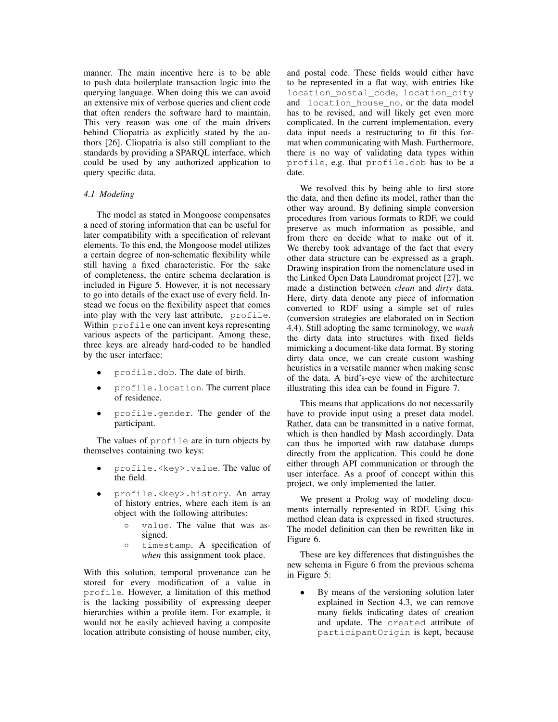manner. The main incentive here is to be able to push data boilerplate transaction logic into the querying language. When doing this we can avoid an extensive mix of verbose queries and client code that often renders the software hard to maintain. This very reason was one of the main drivers behind Cliopatria as explicitly stated by the authors [26]. Cliopatria is also still compliant to the standards by providing a SPARQL interface, which could be used by any authorized application to query specific data.

## *4.1 Modeling*

The model as stated in Mongoose compensates a need of storing information that can be useful for later compatibility with a specification of relevant elements. To this end, the Mongoose model utilizes a certain degree of non-schematic flexibility while still having a fixed characteristic. For the sake of completeness, the entire schema declaration is included in Figure 5. However, it is not necessary to go into details of the exact use of every field. Instead we focus on the flexibility aspect that comes into play with the very last attribute, profile. Within profile one can invent keys representing various aspects of the participant. Among these, three keys are already hard-coded to be handled by the user interface:

- profile.dob. The date of birth.
- profile.location. The current place of residence.
- profile.gender. The gender of the participant.

The values of profile are in turn objects by themselves containing two keys:

- profile.<key>.value. The value of the field.
- profile.<key>.history. An array of history entries, where each item is an object with the following attributes:
	- value. The value that was assigned.
	- timestamp. A specification of *when* this assignment took place.

With this solution, temporal provenance can be stored for every modification of a value in profile. However, a limitation of this method is the lacking possibility of expressing deeper hierarchies within a profile item. For example, it would not be easily achieved having a composite location attribute consisting of house number, city,

and postal code. These fields would either have to be represented in a flat way, with entries like location\_postal\_code, location\_city and location\_house\_no, or the data model has to be revised, and will likely get even more complicated. In the current implementation, every data input needs a restructuring to fit this format when communicating with Mash. Furthermore, there is no way of validating data types within profile, e.g. that profile.dob has to be a date.

We resolved this by being able to first store the data, and then define its model, rather than the other way around. By defining simple conversion procedures from various formats to RDF, we could preserve as much information as possible, and from there on decide what to make out of it. We thereby took advantage of the fact that every other data structure can be expressed as a graph. Drawing inspiration from the nomenclature used in the Linked Open Data Laundromat project [27], we made a distinction between *clean* and *dirty* data. Here, dirty data denote any piece of information converted to RDF using a simple set of rules (conversion strategies are elaborated on in Section 4.4). Still adopting the same terminology, we *wash* the dirty data into structures with fixed fields mimicking a document-like data format. By storing dirty data once, we can create custom washing heuristics in a versatile manner when making sense of the data. A bird's-eye view of the architecture illustrating this idea can be found in Figure 7.

This means that applications do not necessarily have to provide input using a preset data model. Rather, data can be transmitted in a native format, which is then handled by Mash accordingly. Data can thus be imported with raw database dumps directly from the application. This could be done either through API communication or through the user interface. As a proof of concept within this project, we only implemented the latter.

We present a Prolog way of modeling documents internally represented in RDF. Using this method clean data is expressed in fixed structures. The model definition can then be rewritten like in Figure 6.

These are key differences that distinguishes the new schema in Figure 6 from the previous schema in Figure 5:

• By means of the versioning solution later explained in Section 4.3, we can remove many fields indicating dates of creation and update. The created attribute of participantOrigin is kept, because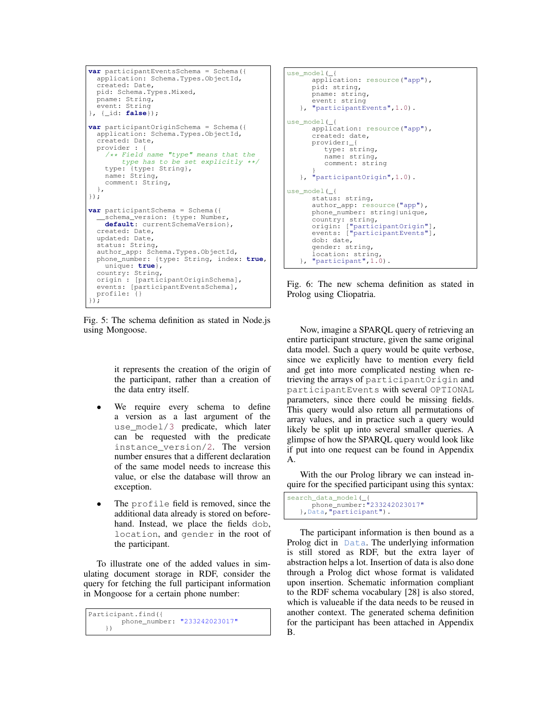```
var participantEventsSchema = Schema({
  application: Schema.Types.ObjectId,
  created: Date,
  pid: Schema.Types.Mixed,
  pname: String,
  event: String
}, {_id: false});
var participantOriginSchema = Schema({
  application: Schema.Types.ObjectId,
  created: Date,
  provider : {
    /** Field name "type" means that the
        type has to be set explicitly **/
     type: {type: String},
name: String,
    comment: String,
  },
});
var participantSchema = Schema({
  __schema_version: {type: Number,
default: currentSchemaVersion},
  created: Date,
  updated: Date,
  status: String,
  author_app: Schema.Types.ObjectId,
  phone_number: {type: String, index: true,
    unique: true},
  country: String,
  origin : [participantOriginSchema],
events: [participantEventsSchema],
  profile: {}
});
```
Fig. 5: The schema definition as stated in Node.js using Mongoose.

it represents the creation of the origin of the participant, rather than a creation of the data entry itself.

- We require every schema to define a version as a last argument of the use\_model/3 predicate, which later can be requested with the predicate instance\_version/2. The version number ensures that a different declaration of the same model needs to increase this value, or else the database will throw an exception.
- The profile field is removed, since the additional data already is stored on beforehand. Instead, we place the fields dob, location, and gender in the root of the participant.

To illustrate one of the added values in simulating document storage in RDF, consider the query for fetching the full participant information in Mongoose for a certain phone number:

Participant.find({ phone\_number: "233242023017" })

```
use_model(_{<br>application: resource("app"),
       pid: string,
      pname: string,
       event: string
   }, "participantEvents",1.0).
use_model(_{
      application: resource("app"),
       created: date,
      provider:_{
          type: string,
          name: string,
          comment: string
   }
}, "participantOrigin",1.0).
use_model(_{
       status: string,
       author_app: resource("app"),
       phone_number: string|unique,
       country: string,
origin: ["participantOrigin"],
events: ["participantEvents"],
       dob: date,
       gender: string,
       location: string,
   }, "participant",1.0).
```
Fig. 6: The new schema definition as stated in Prolog using Cliopatria.

Now, imagine a SPARQL query of retrieving an entire participant structure, given the same original data model. Such a query would be quite verbose, since we explicitly have to mention every field and get into more complicated nesting when retrieving the arrays of participantOrigin and participantEvents with several OPTIONAL parameters, since there could be missing fields. This query would also return all permutations of array values, and in practice such a query would likely be split up into several smaller queries. A glimpse of how the SPARQL query would look like if put into one request can be found in Appendix A.

With the our Prolog library we can instead inquire for the specified participant using this syntax:

```
search_data_model(_{
phone_number:"233242023017"
   },Data,"participant").
```
The participant information is then bound as a Prolog dict in Data. The underlying information is still stored as RDF, but the extra layer of abstraction helps a lot. Insertion of data is also done through a Prolog dict whose format is validated upon insertion. Schematic information compliant to the RDF schema vocabulary [28] is also stored, which is valueable if the data needs to be reused in another context. The generated schema definition for the participant has been attached in Appendix B.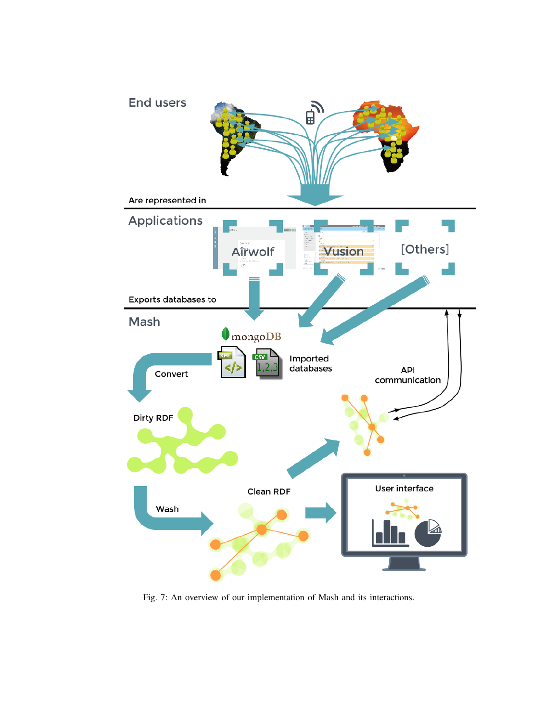

Fig. 7: An overview of our implementation of Mash and its interactions.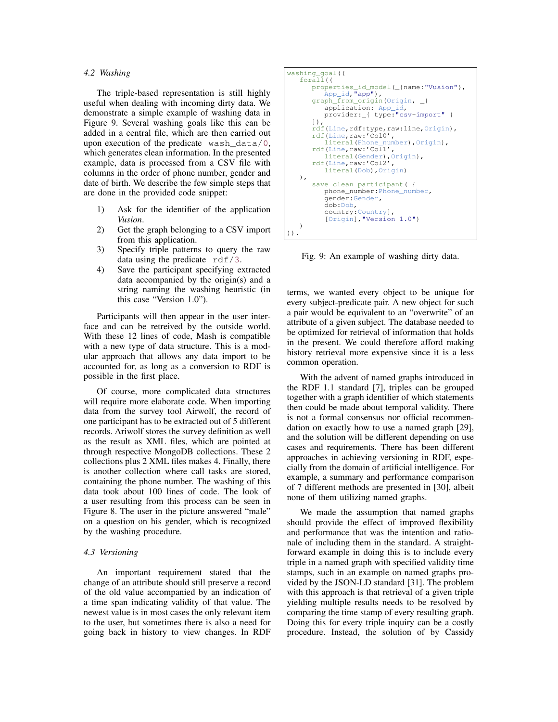#### *4.2 Washing*

The triple-based representation is still highly useful when dealing with incoming dirty data. We demonstrate a simple example of washing data in Figure 9. Several washing goals like this can be added in a central file, which are then carried out upon execution of the predicate wash\_data/0, which generates clean information. In the presented example, data is processed from a CSV file with columns in the order of phone number, gender and date of birth. We describe the few simple steps that are done in the provided code snippet:

- 1) Ask for the identifier of the application *Vusion*.
- 2) Get the graph belonging to a CSV import from this application.
- 3) Specify triple patterns to query the raw data using the predicate  $rdf/3$ .
- 4) Save the participant specifying extracted data accompanied by the origin(s) and a string naming the washing heuristic (in this case "Version 1.0").

Participants will then appear in the user interface and can be retreived by the outside world. With these 12 lines of code, Mash is compatible with a new type of data structure. This is a modular approach that allows any data import to be accounted for, as long as a conversion to RDF is possible in the first place.

Of course, more complicated data structures will require more elaborate code. When importing data from the survey tool Airwolf, the record of one participant has to be extracted out of 5 different records. Ariwolf stores the survey definition as well as the result as XML files, which are pointed at through respective MongoDB collections. These 2 collections plus 2 XML files makes 4. Finally, there is another collection where call tasks are stored, containing the phone number. The washing of this data took about 100 lines of code. The look of a user resulting from this process can be seen in Figure 8. The user in the picture answered "male" on a question on his gender, which is recognized by the washing procedure.

## *4.3 Versioning*

An important requirement stated that the change of an attribute should still preserve a record of the old value accompanied by an indication of a time span indicating validity of that value. The newest value is in most cases the only relevant item to the user, but sometimes there is also a need for going back in history to view changes. In RDF

```
washing_goal((
forall((
       properties_id_model(_{name:"Vusion"},
           App_id, "app",
       graph_from_origin(Origin, _{
            application: App_id,
provider:_{ type:"csv-import" }
        }),
rdf(Line,rdf:type,raw:line,Origin),
rdf(Line,raw:'Col0',
           literal(Phone_number), Origin),
        rdf(Line,raw:'Col1',
literal(Gender),Origin),
rdf(Line,raw:'Col2',
           literal(Dob),Origin)
    ),
       save_clean_participant(_{
           phone_number:Phone_number,
           gender:Gender,
           dob:Dob,
           country:Country},
            [Origin],"Version 1.0")
   )
)).
```
Fig. 9: An example of washing dirty data.

terms, we wanted every object to be unique for every subject-predicate pair. A new object for such a pair would be equivalent to an "overwrite" of an attribute of a given subject. The database needed to be optimized for retrieval of information that holds in the present. We could therefore afford making history retrieval more expensive since it is a less common operation.

With the advent of named graphs introduced in the RDF 1.1 standard [7], triples can be grouped together with a graph identifier of which statements then could be made about temporal validity. There is not a formal consensus nor official recommendation on exactly how to use a named graph [29], and the solution will be different depending on use cases and requirements. There has been different approaches in achieving versioning in RDF, especially from the domain of artificial intelligence. For example, a summary and performance comparison of 7 different methods are presented in [30], albeit none of them utilizing named graphs.

We made the assumption that named graphs should provide the effect of improved flexibility and performance that was the intention and rationale of including them in the standard. A straightforward example in doing this is to include every triple in a named graph with specified validity time stamps, such in an example on named graphs provided by the JSON-LD standard [31]. The problem with this approach is that retrieval of a given triple yielding multiple results needs to be resolved by comparing the time stamp of every resulting graph. Doing this for every triple inquiry can be a costly procedure. Instead, the solution of by Cassidy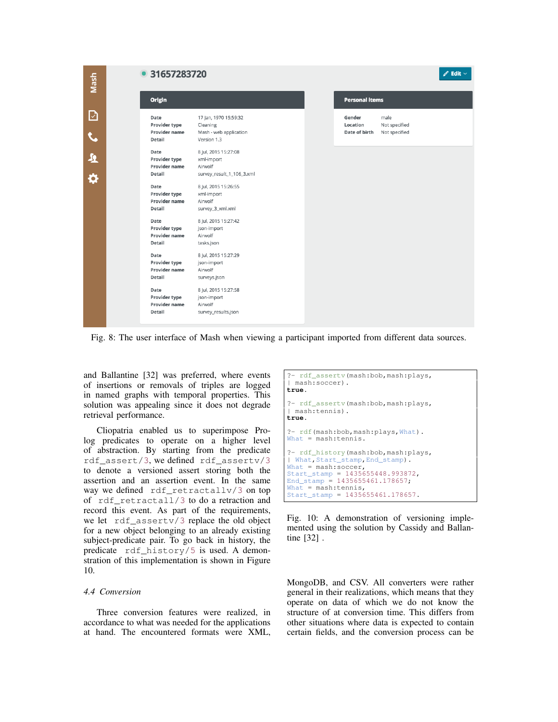

Fig. 8: The user interface of Mash when viewing a participant imported from different data sources.

and Ballantine [32] was preferred, where events of insertions or removals of triples are logged in named graphs with temporal properties. This solution was appealing since it does not degrade retrieval performance.

Cliopatria enabled us to superimpose Prolog predicates to operate on a higher level of abstraction. By starting from the predicate rdf\_assert/3, we defined rdf\_assertv/3 to denote a versioned assert storing both the assertion and an assertion event. In the same way we defined rdf\_retractallv/3 on top of rdf\_retractall/3 to do a retraction and record this event. As part of the requirements, we let rdf\_assertv/3 replace the old object for a new object belonging to an already existing subject-predicate pair. To go back in history, the predicate rdf\_history/5 is used. A demonstration of this implementation is shown in Figure 10.

# *4.4 Conversion*

Three conversion features were realized, in accordance to what was needed for the applications at hand. The encountered formats were XML,

```
?- rdf_assertv(mash:bob,mash:plays,
| mash:soccer).
true.
?- rdf_assertv(mash:bob,mash:plays,
| mash:tennis).
true.
?- rdf(mash:bob, mash:plays, What).
What = mash:tennis.
?- rdf_history(mash:bob,mash:plays,
| What, Start_stamp, End_stamp).
What = mash:soccer,
Start_stamp = 1435655448.993872,
End_stamp = 1435655461.178657;
What = mash:tennis,
Start_stamp = 1435655461.178657.
```
Fig. 10: A demonstration of versioning implemented using the solution by Cassidy and Ballantine [32] .

MongoDB, and CSV. All converters were rather general in their realizations, which means that they operate on data of which we do not know the structure of at conversion time. This differs from other situations where data is expected to contain certain fields, and the conversion process can be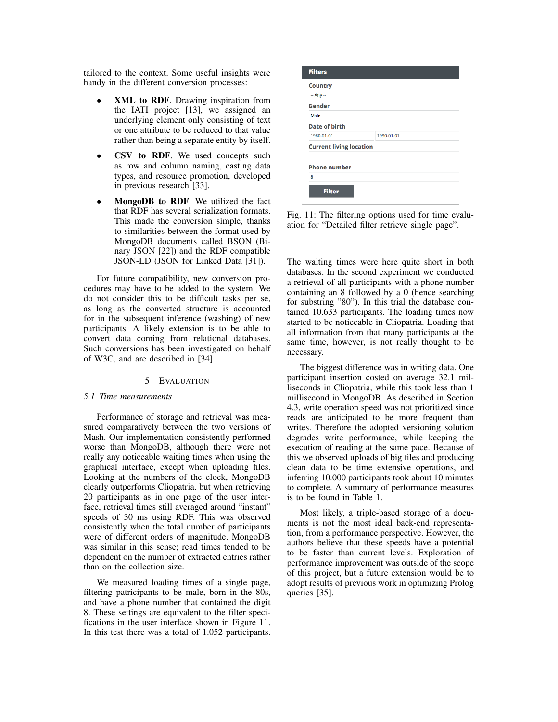tailored to the context. Some useful insights were handy in the different conversion processes:

- XML to RDF. Drawing inspiration from the IATI project [13], we assigned an underlying element only consisting of text or one attribute to be reduced to that value rather than being a separate entity by itself.
- CSV to RDF. We used concepts such as row and column naming, casting data types, and resource promotion, developed in previous research [33].
- MongoDB to RDF. We utilized the fact that RDF has several serialization formats. This made the conversion simple, thanks to similarities between the format used by MongoDB documents called BSON (Binary JSON [22]) and the RDF compatible JSON-LD (JSON for Linked Data [31]).

For future compatibility, new conversion procedures may have to be added to the system. We do not consider this to be difficult tasks per se, as long as the converted structure is accounted for in the subsequent inference (washing) of new participants. A likely extension is to be able to convert data coming from relational databases. Such conversions has been investigated on behalf of W3C, and are described in [34].

### 5 EVALUATION

#### *5.1 Time measurements*

Performance of storage and retrieval was measured comparatively between the two versions of Mash. Our implementation consistently performed worse than MongoDB, although there were not really any noticeable waiting times when using the graphical interface, except when uploading files. Looking at the numbers of the clock, MongoDB clearly outperforms Cliopatria, but when retrieving 20 participants as in one page of the user interface, retrieval times still averaged around "instant" speeds of 30 ms using RDF. This was observed consistently when the total number of participants were of different orders of magnitude. MongoDB was similar in this sense; read times tended to be dependent on the number of extracted entries rather than on the collection size.

We measured loading times of a single page, filtering patricipants to be male, born in the 80s, and have a phone number that contained the digit 8. These settings are equivalent to the filter specifications in the user interface shown in Figure 11. In this test there was a total of 1.052 participants.

| Country                        |            |  |  |  |  |
|--------------------------------|------------|--|--|--|--|
| $-Any -$                       |            |  |  |  |  |
| Gender                         |            |  |  |  |  |
| Male                           |            |  |  |  |  |
| <b>Date of birth</b>           |            |  |  |  |  |
| 1980-01-01                     | 1990-01-01 |  |  |  |  |
| <b>Current living location</b> |            |  |  |  |  |
| <b>Phone number</b>            |            |  |  |  |  |
| 8                              |            |  |  |  |  |

Fig. 11: The filtering options used for time evaluation for "Detailed filter retrieve single page".

The waiting times were here quite short in both databases. In the second experiment we conducted a retrieval of all participants with a phone number containing an 8 followed by a 0 (hence searching for substring "80"). In this trial the database contained 10.633 participants. The loading times now started to be noticeable in Cliopatria. Loading that all information from that many participants at the same time, however, is not really thought to be necessary.

The biggest difference was in writing data. One participant insertion costed on average 32.1 milliseconds in Cliopatria, while this took less than 1 millisecond in MongoDB. As described in Section 4.3, write operation speed was not prioritized since reads are anticipated to be more frequent than writes. Therefore the adopted versioning solution degrades write performance, while keeping the execution of reading at the same pace. Because of this we observed uploads of big files and producing clean data to be time extensive operations, and inferring 10.000 participants took about 10 minutes to complete. A summary of performance measures is to be found in Table 1.

Most likely, a triple-based storage of a documents is not the most ideal back-end representation, from a performance perspective. However, the authors believe that these speeds have a potential to be faster than current levels. Exploration of performance improvement was outside of the scope of this project, but a future extension would be to adopt results of previous work in optimizing Prolog queries [35].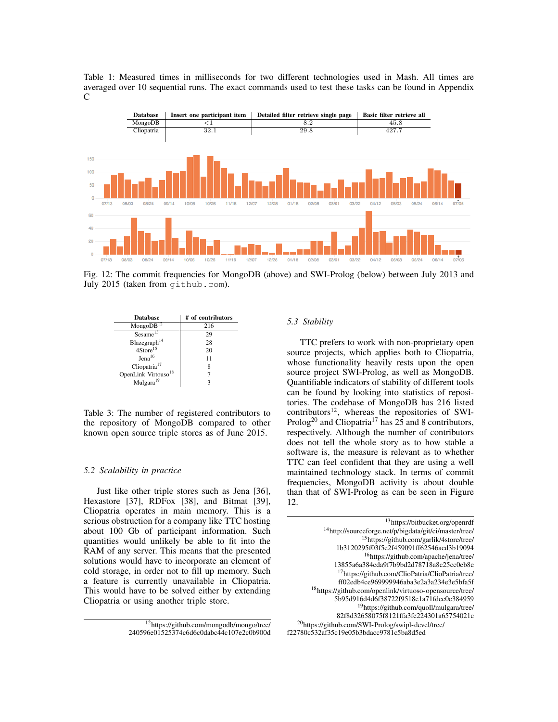Table 1: Measured times in milliseconds for two different technologies used in Mash. All times are averaged over 10 sequential runs. The exact commands used to test these tasks can be found in Appendix  $\mathcal{C}$ 



Fig. 12: The commit frequencies for MongoDB (above) and SWI-Prolog (below) between July 2013 and July 2015 (taken from github.com).

| <b>Database</b>                 | # of contributors |
|---------------------------------|-------------------|
| MongoDB <sup>12</sup>           | 216               |
| Sesame <sup>13</sup>            | 29                |
| Blazegraph <sup>14</sup>        | 28                |
| $4 \text{Store}^{15}$           | 20                |
| Jena <sup>16</sup>              | 11                |
| Cliopatria <sup>17</sup>        | 8                 |
| OpenLink Virtouso <sup>18</sup> |                   |
| Mulgara <sup>19</sup>           |                   |

Table 3: The number of registered contributors to the repository of MongoDB compared to other known open source triple stores as of June 2015.

## *5.2 Scalability in practice*

Just like other triple stores such as Jena [36], Hexastore [37], RDFox [38], and Bitmat [39], Cliopatria operates in main memory. This is a serious obstruction for a company like TTC hosting about 100 Gb of participant information. Such quantities would unlikely be able to fit into the RAM of any server. This means that the presented solutions would have to incorporate an element of cold storage, in order not to fill up memory. Such a feature is currently unavailable in Cliopatria. This would have to be solved either by extending Cliopatria or using another triple store.

# *5.3 Stability*

TTC prefers to work with non-proprietary open source projects, which applies both to Cliopatria, whose functionality heavily rests upon the open source project SWI-Prolog, as well as MongoDB. Quantifiable indicators of stability of different tools can be found by looking into statistics of repositories. The codebase of MongoDB has 216 listed  $contributes<sup>12</sup>$ , whereas the repositories of SWI-Prolog<sup>20</sup> and Cliopatria<sup>17</sup> has  $25$  and 8 contributors, respectively. Although the number of contributors does not tell the whole story as to how stable a software is, the measure is relevant as to whether TTC can feel confident that they are using a well maintained technology stack. In terms of commit frequencies, MongoDB activity is about double than that of SWI-Prolog as can be seen in Figure 12.

| <sup>13</sup> https://bitbucket.org/openrdf                         |
|---------------------------------------------------------------------|
| <sup>14</sup> http://sourceforge.net/p/bigdata/git/ci/master/tree/  |
| <sup>15</sup> https://github.com/garlik/4store/tree/                |
| 1b3120295f03f5e2f459091ff62546acd3b19094                            |
| <sup>16</sup> https://github.com/apache/jena/tree/                  |
| 13855a6a384cda9f7b9bd2d78718a8c25cc0eb8e                            |
| <sup>17</sup> https://github.com/ClioPatria/ClioPatria/tree/        |
| ff02edb4ce969999946aba3e2a3a234e3e5bfa5f                            |
| <sup>18</sup> https://github.com/openlink/virtuoso-opensource/tree/ |
| 5b95d916d4d6f38722f9518e1a71fdec0c384959                            |
| <sup>19</sup> https://github.com/quoll/mulgara/tree/                |
| 82f8d32658075f8121ffa3fe224301a65754021c                            |
| <sup>20</sup> https://github.com/SWI-Prolog/swipl-devel/tree/       |

f22780c532af35c19e05b3bdacc9781c5ba8d5ed

<sup>12</sup>https://github.com/mongodb/mongo/tree/ 240596e01525374c6d6c0dabc44c107e2c0b900d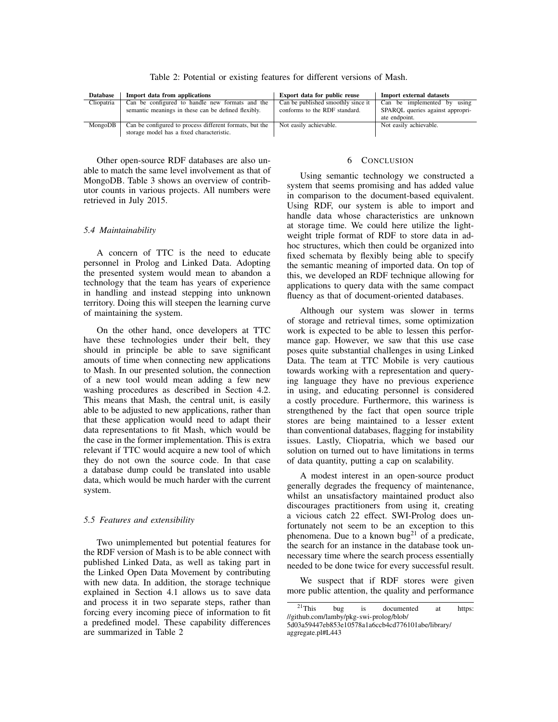Table 2: Potential or existing features for different versions of Mash.

| <b>Database</b> | Import data from applications                           | <b>Export data for public reuse</b> | Import external datasets         |
|-----------------|---------------------------------------------------------|-------------------------------------|----------------------------------|
| Cliopatria      | Can be configured to handle new formats and the         | Can be published smoothly since it  | Can be implemented by using      |
|                 | semantic meanings in these can be defined flexibly.     | conforms to the RDF standard.       | SPAROL queries against appropri- |
|                 |                                                         |                                     | ate endpoint.                    |
| MongoDB         | Can be configured to process different formats, but the | Not easily achievable.              | Not easily achievable.           |
|                 | storage model has a fixed characteristic.               |                                     |                                  |

Other open-source RDF databases are also unable to match the same level involvement as that of MongoDB. Table 3 shows an overview of contributor counts in various projects. All numbers were retrieved in July 2015.

#### *5.4 Maintainability*

A concern of TTC is the need to educate personnel in Prolog and Linked Data. Adopting the presented system would mean to abandon a technology that the team has years of experience in handling and instead stepping into unknown territory. Doing this will steepen the learning curve of maintaining the system.

On the other hand, once developers at TTC have these technologies under their belt, they should in principle be able to save significant amouts of time when connecting new applications to Mash. In our presented solution, the connection of a new tool would mean adding a few new washing procedures as described in Section 4.2. This means that Mash, the central unit, is easily able to be adjusted to new applications, rather than that these application would need to adapt their data representations to fit Mash, which would be the case in the former implementation. This is extra relevant if TTC would acquire a new tool of which they do not own the source code. In that case a database dump could be translated into usable data, which would be much harder with the current system.

## *5.5 Features and extensibility*

Two unimplemented but potential features for the RDF version of Mash is to be able connect with published Linked Data, as well as taking part in the Linked Open Data Movement by contributing with new data. In addition, the storage technique explained in Section 4.1 allows us to save data and process it in two separate steps, rather than forcing every incoming piece of information to fit a predefined model. These capability differences are summarized in Table 2

## 6 CONCLUSION

Using semantic technology we constructed a system that seems promising and has added value in comparison to the document-based equivalent. Using RDF, our system is able to import and handle data whose characteristics are unknown at storage time. We could here utilize the lightweight triple format of RDF to store data in adhoc structures, which then could be organized into fixed schemata by flexibly being able to specify the semantic meaning of imported data. On top of this, we developed an RDF technique allowing for applications to query data with the same compact fluency as that of document-oriented databases.

Although our system was slower in terms of storage and retrieval times, some optimization work is expected to be able to lessen this performance gap. However, we saw that this use case poses quite substantial challenges in using Linked Data. The team at TTC Mobile is very cautious towards working with a representation and querying language they have no previous experience in using, and educating personnel is considered a costly procedure. Furthermore, this wariness is strengthened by the fact that open source triple stores are being maintained to a lesser extent than conventional databases, flagging for instability issues. Lastly, Cliopatria, which we based our solution on turned out to have limitations in terms of data quantity, putting a cap on scalability.

A modest interest in an open-source product generally degrades the frequency of maintenance, whilst an unsatisfactory maintained product also discourages practitioners from using it, creating a vicious catch 22 effect. SWI-Prolog does unfortunately not seem to be an exception to this phenomena. Due to a known bug<sup>21</sup> of a predicate, the search for an instance in the database took unnecessary time where the search process essentially needed to be done twice for every successful result.

We suspect that if RDF stores were given more public attention, the quality and performance

 $21$ This bug is documented at https: //github.com/lamby/pkg-swi-prolog/blob/ 5d03a59447eb853e10578a1a6ccb4cd776101abe/library/ aggregate.pl#L443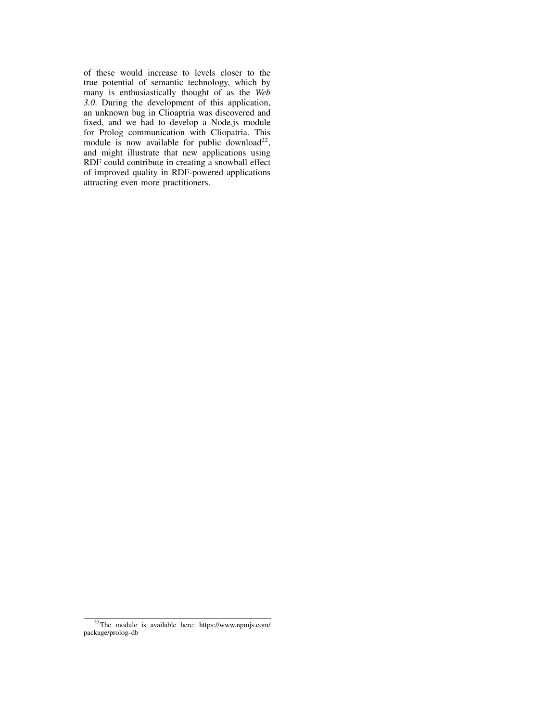of these would increase to levels closer to the true potential of semantic technology, which by many is enthusiastically thought of as the *Web 3.0*. During the development of this application, an unknown bug in Clioaptria was discovered and fixed, and we had to develop a Node.js module for Prolog communication with Cliopatria. This module is now available for public download<sup>22</sup>, and might illustrate that new applications using RDF could contribute in creating a snowball effect of improved quality in RDF-powered applications attracting even more practitioners.

<sup>22</sup>The module is available here: https://www.npmjs.com/ package/prolog-db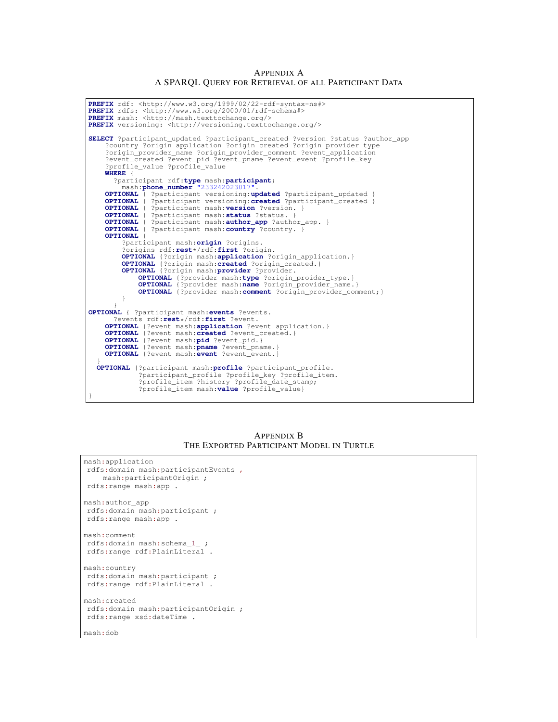APPENDIX A A SPARQL QUERY FOR RETRIEVAL OF ALL PARTICIPANT DATA

```
PREFIX rdf: <http://www.w3.org/1999/02/22-rdf-syntax-ns#>
PREFIX rdfs: <http://www.w3.org/2000/01/rdf-schema#>
PREFIX mash: <http://mash.texttochange.org/>
PREFIX versioning: <http://versioning.texttochange.org/>
SELECT ?participant_updated ?participant_created ?version ?status ?author_app
      ?country ?origin_application ?origin_created ?origin_provider_type
?origin_provider_name ?origin_provider_comment ?event_application
?event_created ?event_pid ?event_pname ?event_event ?profile_key
      ?profile_value ?profile_value
     WHERE {
      ?participant rdf:type mash:participant;<br>mash:phone_number "233242023017".<br>OPTIONAL { ?participant versioning:wodated ?participant_updated }<br>OPTIONAL { ?participant versioning:wreated ?participant_created }
     OPTIONAL { ?participant mash:version ?version. }
     OPTIONAL { ?participant mash:status ?status. }
      OPTIONAL { ?participant mash:author_app ?author_app. }
OPTIONAL { ?participant mash:country ?country. }
     OPTIONAL {
           ?participant mash:origin ?origins.
           ?origins rdf:rest*/rdf:first ?origin.
           OPTIONAL {?origin mash:application ?origin_application.}
           OPTIONAL {?origin mash:created ?origin_created.}
           OPTIONAL {?origin mash:provider ?provider.
                 OPTIONAL {?provider mash:type ?origin_proider_type.}
OPTIONAL {?provider mash:name ?origin_provider_name.}
                OPTIONAL {?provider mash:comment ?origin_provider_comment;}
           }
         }
OPTIONAL { ?participant mash:events ?events.
        ?events rdf:rest*/rdf:first ?event.
      OPTIONAL {?event mash:application ?event_application.}
OPTIONAL {?event mash:created ?event_created.}
      OPTIONAL {?event mash:pid ?event_pid.}
OPTIONAL {?event mash:pname ?event_pname.}
OPTIONAL {?event mash:event ?event_event.}
   }
OPTIONAL {?participant mash:profile ?participant_profile.
                 ?participant_profile ?profile_key ?profile_item.
                 ?profile_item ?history ?profile_date_stamp;
                 ?profile_item mash:value ?profile_value}
}
```
APPENDIX B THE EXPORTED PARTICIPANT MODEL IN TURTLE

```
mash:application
rdfs:domain mash:participantEvents ,
    mash:participantOrigin ;
rdfs:range mash:app .
mash:author_app
rdfs:domain mash:participant ;
rdfs:range mash:app .
mash:comment
rdfs:domain mash:schema_1_ ;
rdfs:range rdf:PlainLiteral .
mash:country
rdfs:domain mash:participant ;
rdfs:range rdf:PlainLiteral .
mash:created
rdfs:domain mash:participantOrigin ;
rdfs:range xsd:dateTime .
mash:dob
```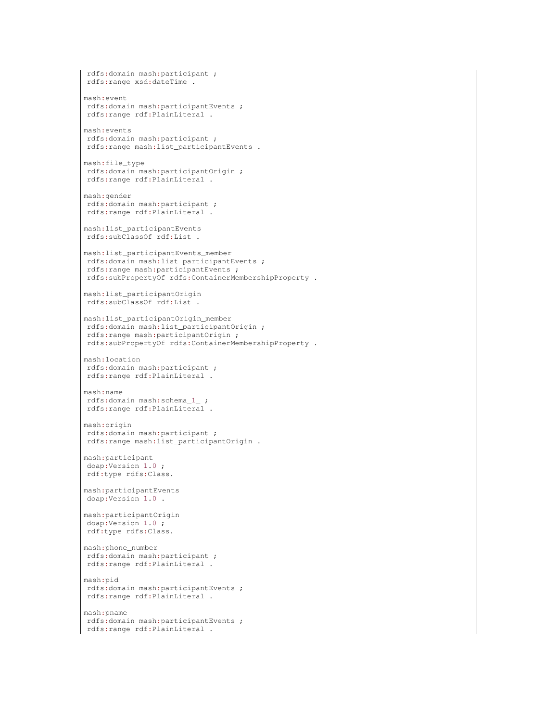```
rdfs:domain mash:participant ;
rdfs:range xsd:dateTime .
mash:event
rdfs:domain mash:participantEvents ;
rdfs:range rdf:PlainLiteral .
mash:events
rdfs:domain mash:participant ;
rdfs:range mash:list_participantEvents .
mash:file_type
rdfs:domain mash:participantOrigin ;
rdfs:range rdf:PlainLiteral .
mash:gender
rdfs:domain mash:participant ;
rdfs:range rdf:PlainLiteral .
mash:list_participantEvents
rdfs:subClassOf rdf:List .
mash:list_participantEvents_member
rdfs:domain mash:list_participantEvents ;
rdfs:range mash:participantEvents ;
rdfs:subPropertyOf rdfs:ContainerMembershipProperty .
mash:list_participantOrigin
rdfs:subClassOf rdf:List .
mash:list_participantOrigin_member
rdfs:domain mash:list_participantOrigin ;
rdfs:range mash:participantOrigin ;
rdfs:subPropertyOf rdfs:ContainerMembershipProperty .
mash:location
rdfs:domain mash:participant ;
rdfs:range rdf:PlainLiteral .
mash:name
rdfs:domain mash:schema_1_ ;
rdfs:range rdf:PlainLiteral .
mash:origin
rdfs:domain mash:participant ;
rdfs:range mash:list_participantOrigin .
mash:participant
doap:Version 1.0 ;
rdf:type rdfs:Class.
mash:participantEvents
doap:Version 1.0 .
mash:participantOrigin
doap:Version 1.0 ;
rdf:type rdfs:Class.
mash:phone_number
rdfs:domain mash:participant ;
rdfs:range rdf:PlainLiteral .
mash:pid
rdfs:domain mash:participantEvents ;
rdfs:range rdf:PlainLiteral .
mash:pname
rdfs:domain mash:participantEvents ;
rdfs:range rdf:PlainLiteral .
```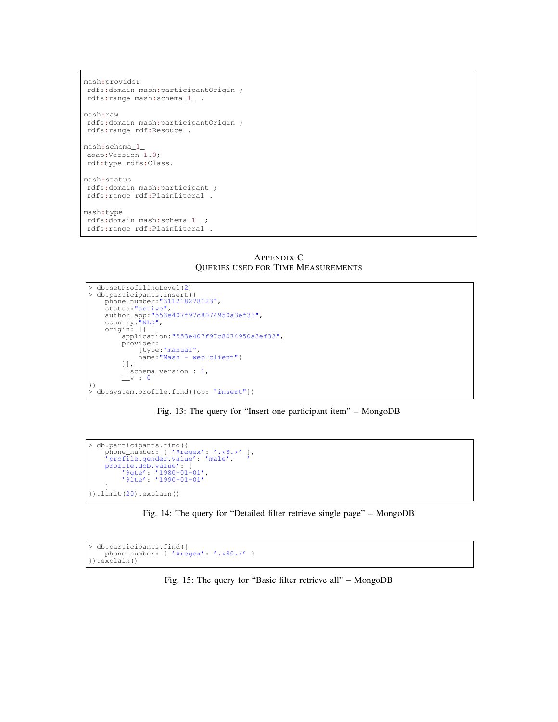```
mash:provider
rdfs:domain mash:participantOrigin ;
rdfs:range mash:schema_1_ .
mash:raw
rdfs:domain mash:participantOrigin ;
rdfs:range rdf:Resouce .
mash:schema_1_
doap:Version 1.0;
rdf:type rdfs:Class.
mash:status
rdfs:domain mash:participant ;
rdfs:range rdf:PlainLiteral .
mash:type
rdfs:domain mash:schema_1_ ;
rdfs:range rdf:PlainLiteral .
```
APPENDIX C QUERIES USED FOR TIME MEASUREMENTS

```
> db.setProfilingLevel(2)
> db.participants.insert({
phone_number:"311218278123",
     status:"active",
      author_app:<mark>"</mark>553e407f97c8074950a3ef33",<br>country:"NLD<b>",<br>origin: [{
            application:"553e407f97c8074950a3ef33",
            provider:
                   {type:"manual",
name:"Mash - web client"}
            }],
             \frac{\text{Schema\_version}}{\text{V}}: 0
\begin{array}{c} \n} \n) \\
 \n> \n\end{array}db.system.profile.find({op: "insert"})
```
Fig. 13: The query for "Insert one participant item" – MongoDB

```
> db.participants.find({
       phone_number: { '$regex': '.*8.*' },
'profile.gender.value': 'male', '
       profile.dob.value': {
'$gte': '1980-01-01',
'$lte': '1990-01-01'
}
}).limit(20).explain()
```
Fig. 14: The query for "Detailed filter retrieve single page" – MongoDB

```
> db.participants.find({
   phone_number: { '$regex': '.*80.*' }
}).explain()
```
Fig. 15: The query for "Basic filter retrieve all" – MongoDB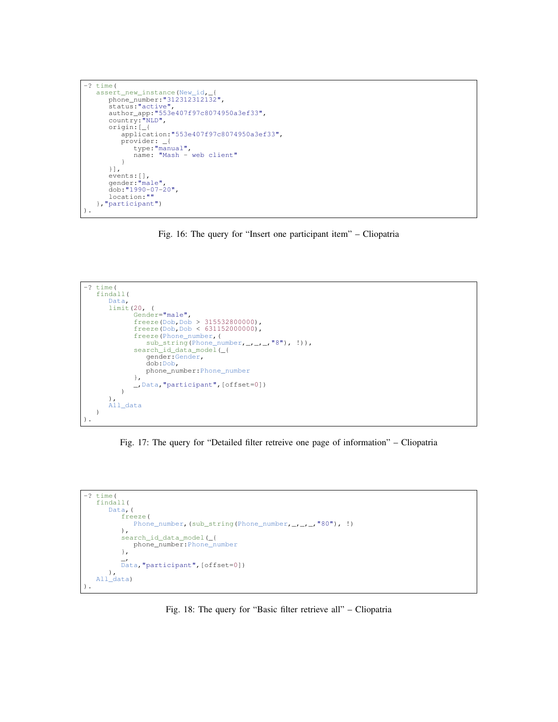```
-? time(
    assert_new_instance(New_id,_{
phone_number:"312312312132",
         status:"active",<br>author_app:"553e407f97c8074950a3ef33",<br>country:"NLD",<br>origin:[_{
             application:"553e407f97c8074950a3ef33",
              provider: _{
type:"manual",
name: "Mash - web client"
              }
         }],
         events: [],<br>gender: "male",
         dob:"1990-07-20",
         location:""
    },"participant")
).
```
Fig. 16: The query for "Insert one participant item" – Cliopatria

```
-? time(
   findall(
       Data,
       limit(20, (
                Gender="male",
                freeze(Dob,Dob > 315532800000),
freeze(Dob,Dob < 631152000000),
                freeze(Phone_number,(
                sub_string(Phone_number,_,_,_,"8"), !)),<br>search_id_data_model(_{<br>gender:Gender,
                    dob:Dob,
                   phone_number:Phone_number
                },
               _,Data,"participant",[offset=0])
           )
        ),
All_data
   )
).
```
Fig. 17: The query for "Detailed filter retreive one page of information" – Cliopatria

```
-? time(
   findall(
       Data, (
          freeze(
              Phone_number,(sub_string(Phone_number,_,_,_,"80"), !)
          ),
           search_id_data_model(_{
phone_number:Phone_number
          },
           _,
Data,"participant",[offset=0])
   ),
All_data)
).
```
Fig. 18: The query for "Basic filter retrieve all" – Cliopatria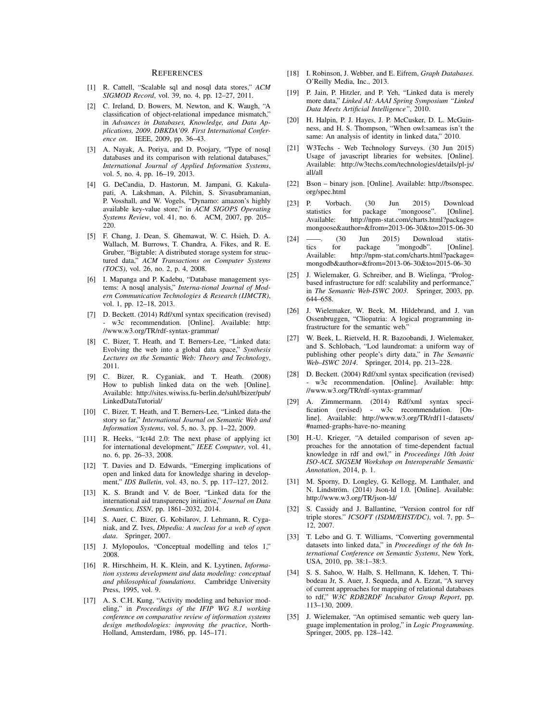#### **REFERENCES**

- [1] R. Cattell, "Scalable sql and nosql data stores," *ACM SIGMOD Record*, vol. 39, no. 4, pp. 12–27, 2011.
- [2] C. Ireland, D. Bowers, M. Newton, and K. Waugh, "A classification of object-relational impedance mismatch," in *Advances in Databases, Knowledge, and Data Applications, 2009. DBKDA'09. First International Conference on*. IEEE, 2009, pp. 36–43.
- [3] A. Nayak, A. Poriya, and D. Poojary, "Type of nosql databases and its comparison with relational databases. *International Journal of Applied Information Systems*, vol. 5, no. 4, pp. 16–19, 2013.
- [4] G. DeCandia, D. Hastorun, M. Jampani, G. Kakulapati, A. Lakshman, A. Pilchin, S. Sivasubramanian, P. Vosshall, and W. Vogels, "Dynamo: amazon's highly available key-value store," in *ACM SIGOPS Operating Systems Review*, vol. 41, no. 6. ACM, 2007, pp. 205– 220.
- [5] F. Chang, J. Dean, S. Ghemawat, W. C. Hsieh, D. A. Wallach, M. Burrows, T. Chandra, A. Fikes, and R. E. Gruber, "Bigtable: A distributed storage system for structured data," *ACM Transactions on Computer Systems (TOCS)*, vol. 26, no. 2, p. 4, 2008.
- [6] I. Mapanga and P. Kadebu, "Database management systems: A nosql analysis," *Interna-tional Journal of Modern Communication Technologies & Research (IJMCTR)*, vol. 1, pp. 12–18, 2013.
- [7] D. Beckett. (2014) Rdf/xml syntax specification (revised) - w3c recommendation. [Online]. Available: http: //www.w3.org/TR/rdf-syntax-grammar/
- [8] C. Bizer, T. Heath, and T. Berners-Lee, "Linked data: Evolving the web into a global data space," *Synthesis Lectures on the Semantic Web: Theory and Technology*, 2011.
- [9] C. Bizer, R. Cyganiak, and T. Heath. (2008) How to publish linked data on the web. [Online]. Available: http://sites.wiwiss.fu-berlin.de/suhl/bizer/pub/ LinkedDataTutorial/
- [10] C. Bizer, T. Heath, and T. Berners-Lee, "Linked data-the story so far," *International Journal on Semantic Web and Information Systems*, vol. 5, no. 3, pp. 1–22, 2009.
- [11] R. Heeks, "Ict4d 2.0: The next phase of applying ict for international development," *IEEE Computer*, vol. 41, no. 6, pp. 26–33, 2008.
- [12] T. Davies and D. Edwards, "Emerging implications of open and linked data for knowledge sharing in development," *IDS Bulletin*, vol. 43, no. 5, pp. 117–127, 2012.
- [13] K. S. Brandt and V. de Boer, "Linked data for the international aid transparency initiative," *Journal on Data Semantics, ISSN*, pp. 1861–2032, 2014.
- [14] S. Auer, C. Bizer, G. Kobilarov, J. Lehmann, R. Cyganiak, and Z. Ives, *Dbpedia: A nucleus for a web of open data*. Springer, 2007.
- [15] J. Mylopoulos, "Conceptual modelling and telos 1," 2008.
- [16] R. Hirschheim, H. K. Klein, and K. Lyytinen, *Information systems development and data modeling: conceptual and philosophical foundations*. Cambridge University Press, 1995, vol. 9.
- [17] A. S. C.H. Kung, "Activity modeling and behavior modeling," in *Proceedings of the IFIP WG 8.1 working conference on comparative review of information systems design methodologies: improving the practice*, North-Holland, Amsterdam, 1986, pp. 145–171.
- [18] I. Robinson, J. Webber, and E. Eifrem, *Graph Databases*. O'Reilly Media, Inc., 2013.
- [19] P. Jain, P. Hitzler, and P. Yeh, "Linked data is merely more data," *Linked AI: AAAI Spring Symposium "Linked Data Meets Artificial Intelligence"*, 2010.
- [20] H. Halpin, P. J. Hayes, J. P. McCusker, D. L. McGuinness, and H. S. Thompson, "When owl:sameas isn't the same: An analysis of identity in linked data," 2010.
- [21] W3Techs Web Technology Surveys. (30 Jun 2015) Usage of javascript libraries for websites. [Online]. Available: http://w3techs.com/technologies/details/pl-js/ all/all
- [22] Bson binary json. [Online]. Available: http://bsonspec. org/spec.html
- [23] P. Vorbach. (30 Jun 2015) Download statistics for package "mongoose". [Online]. Available: http://npm-stat.com/charts.html?package= mongoose&author=&from=2013-06-30&to=2015-06-30
- [24] ——. (30 Jun 2015) Download statistics for package "mongodb". [Online].<br>Available: http://npm-stat.com/charts.html?package= http://npm-stat.com/charts.html?package= mongodb&author=&from=2013-06-30&to=2015-06-30
- [25] J. Wielemaker, G. Schreiber, and B. Wielinga, "Prologbased infrastructure for rdf: scalability and performance, in *The Semantic Web-ISWC 2003*. Springer, 2003, pp. 644–658.
- [26] J. Wielemaker, W. Beek, M. Hildebrand, and J. van Ossenbruggen, "Cliopatria: A logical programming infrastructure for the semantic web."
- [27] W. Beek, L. Rietveld, H. R. Bazoobandi, J. Wielemaker, and S. Schlobach, "Lod laundromat: a uniform way of publishing other people's dirty data," in *The Semantic Web–ISWC 2014*. Springer, 2014, pp. 213–228.
- [28] D. Beckett. (2004) Rdf/xml syntax specification (revised) - w3c recommendation. [Online]. Available: http: //www.w3.org/TR/rdf-syntax-grammar/
- [29] A. Zimmermann. (2014) Rdf/xml syntax specification (revised) - w3c recommendation. [Online]. Available: http://www.w3.org/TR/rdf11-datasets/ #named-graphs-have-no-meaning
- [30] H.-U. Krieger, "A detailed comparison of seven approaches for the annotation of time-dependent factual knowledge in rdf and owl," in *Proceedings 10th Joint ISO-ACL SIGSEM Workshop on Interoperable Semantic Annotation*, 2014, p. 1.
- [31] M. Sporny, D. Longley, G. Kellogg, M. Lanthaler, and N. Lindström. (2014) Json-ld 1.0. [Online]. Available: http://www.w3.org/TR/json-ld/
- [32] S. Cassidy and J. Ballantine, "Version control for rdf triple stores." *ICSOFT (ISDM/EHST/DC)*, vol. 7, pp. 5– 12, 2007.
- [33] T. Lebo and G. T. Williams, "Converting governmental datasets into linked data," in *Proceedings of the 6th International Conference on Semantic Systems*, New York, USA, 2010, pp. 38:1–38:3.
- [34] S. S. Sahoo, W. Halb, S. Hellmann, K. Idehen, T. Thibodeau Jr, S. Auer, J. Sequeda, and A. Ezzat, "A survey of current approaches for mapping of relational databases to rdf," *W3C RDB2RDF Incubator Group Report*, pp. 113–130, 2009.
- [35] J. Wielemaker, "An optimised semantic web query language implementation in prolog," in *Logic Programming*. Springer, 2005, pp. 128–142.